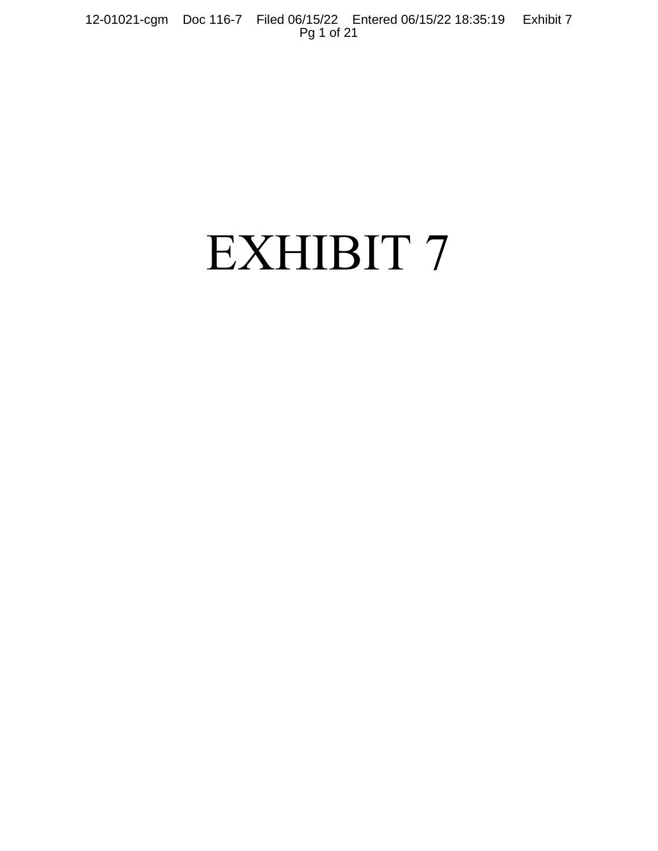12-01021-cgm Doc 116-7 Filed 06/15/22 Entered 06/15/22 18:35:19 Exhibit 7 Pg 1 of 21

# EXHIBIT 7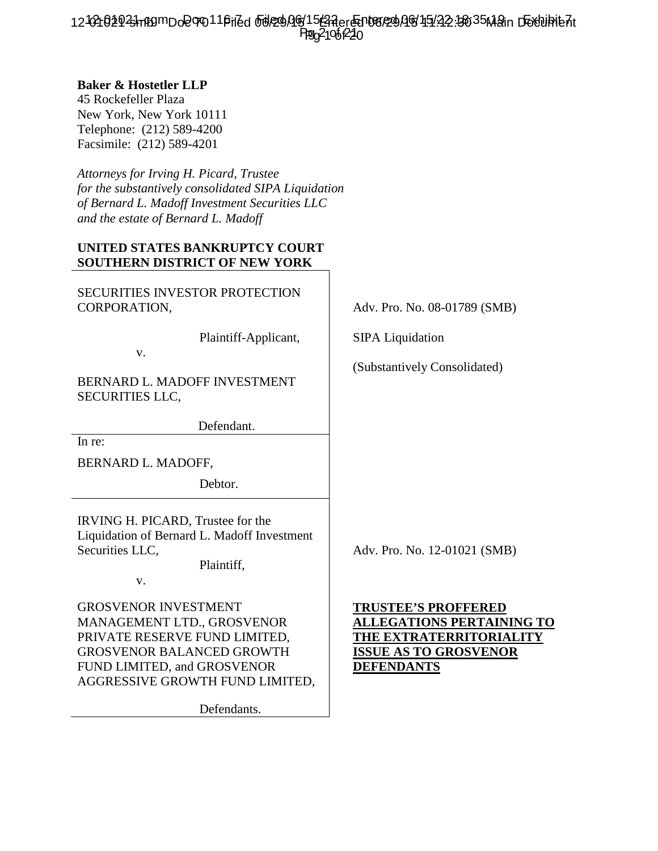12-02102923hn89mDo2070116iled 66l29AQ615 ZAer Entered AG 15/22 15635 Main Dexulhie At Ppg 2106 220

## **Baker & Hostetler LLP**

45 Rockefeller Plaza New York, New York 10111 Telephone: (212) 589-4200 Facsimile: (212) 589-4201

*Attorneys for Irving H. Picard, Trustee for the substantively consolidated SIPA Liquidation of Bernard L. Madoff Investment Securities LLC and the estate of Bernard L. Madoff*

# **UNITED STATES BANKRUPTCY COURT SOUTHERN DISTRICT OF NEW YORK**

SECURITIES INVESTOR PROTECTION CORPORATION,  $\qquad \qquad \qquad$  Adv. Pro. No. 08-01789 (SMB)

v.

BERNARD L. MADOFF INVESTMENT SECURITIES LLC,

Defendant.

In re:

BERNARD L. MADOFF,

Debtor.

IRVING H. PICARD, Trustee for the Liquidation of Bernard L. Madoff Investment Securities LLC,  $\qquad \qquad$  Adv. Pro. No. 12-01021 (SMB)

Plaintiff,

v.

GROSVENOR INVESTMENT MANAGEMENT LTD., GROSVENOR PRIVATE RESERVE FUND LIMITED, GROSVENOR BALANCED GROWTH FUND LIMITED, and GROSVENOR AGGRESSIVE GROWTH FUND LIMITED,

Defendants.

Plaintiff-Applicant, SIPA Liquidation

(Substantively Consolidated)

**TRUSTEE'S PROFFERED ALLEGATIONS PERTAINING TO THE EXTRATERRITORIALITY ISSUE AS TO GROSVENOR DEFENDANTS**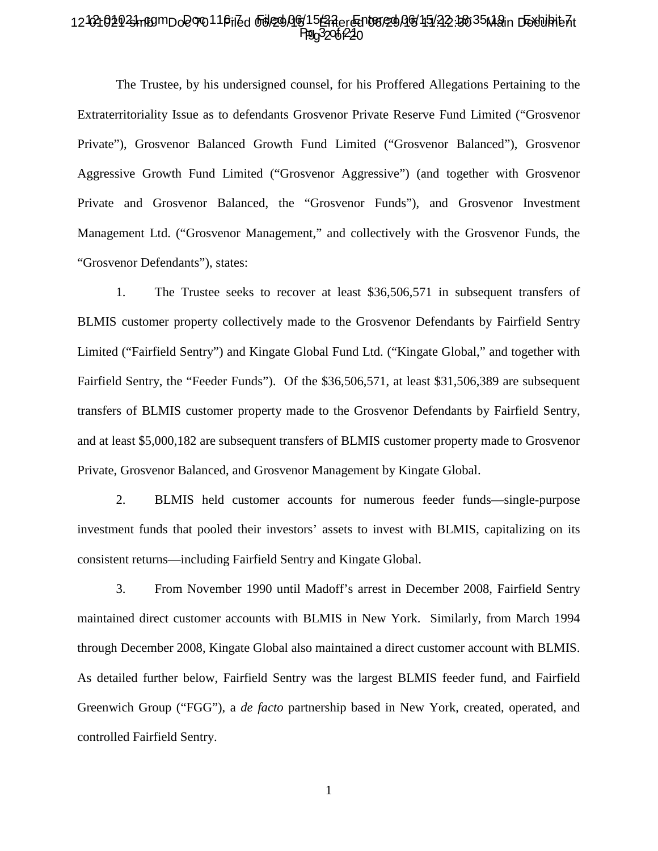#### 12-02102923hn89mDo2070116iled 66l29AQ615 ZAer Entered AG 15/22 15635 Main Dexulhie At **Hg<sub>0</sub>3206f220** Ppg32061224

The Trustee, by his undersigned counsel, for his Proffered Allegations Pertaining to the Extraterritoriality Issue as to defendants Grosvenor Private Reserve Fund Limited ("Grosvenor Private"), Grosvenor Balanced Growth Fund Limited ("Grosvenor Balanced"), Grosvenor Aggressive Growth Fund Limited ("Grosvenor Aggressive") (and together with Grosvenor Private and Grosvenor Balanced, the "Grosvenor Funds"), and Grosvenor Investment Management Ltd. ("Grosvenor Management," and collectively with the Grosvenor Funds, the "Grosvenor Defendants"), states:

1. The Trustee seeks to recover at least \$36,506,571 in subsequent transfers of BLMIS customer property collectively made to the Grosvenor Defendants by Fairfield Sentry Limited ("Fairfield Sentry") and Kingate Global Fund Ltd. ("Kingate Global," and together with Fairfield Sentry, the "Feeder Funds"). Of the \$36,506,571, at least \$31,506,389 are subsequent transfers of BLMIS customer property made to the Grosvenor Defendants by Fairfield Sentry, and at least \$5,000,182 are subsequent transfers of BLMIS customer property made to Grosvenor Private, Grosvenor Balanced, and Grosvenor Management by Kingate Global.

2. BLMIS held customer accounts for numerous feeder funds—single-purpose investment funds that pooled their investors' assets to invest with BLMIS, capitalizing on its consistent returns—including Fairfield Sentry and Kingate Global.

3. From November 1990 until Madoff's arrest in December 2008, Fairfield Sentry maintained direct customer accounts with BLMIS in New York. Similarly, from March 1994 through December 2008, Kingate Global also maintained a direct customer account with BLMIS. As detailed further below, Fairfield Sentry was the largest BLMIS feeder fund, and Fairfield Greenwich Group ("FGG"), a *de facto* partnership based in New York, created, operated, and controlled Fairfield Sentry.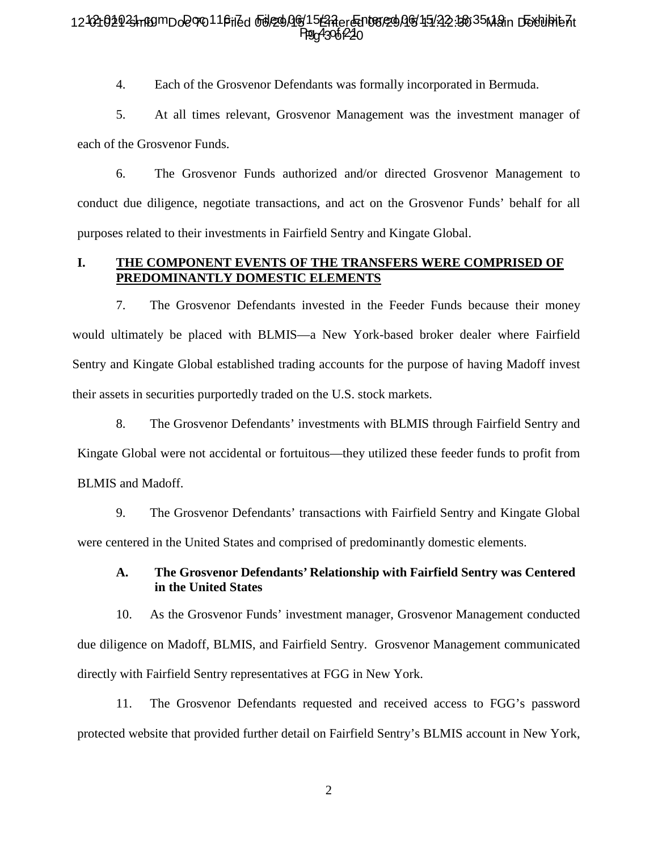### 12-02102923hn89mDo2070116iled 66l29AQ615f2Rer@D08/29AQ6/15/22.3035Main D5Yuhie7t Ppg4306<sub>1</sub>220

4. Each of the Grosvenor Defendants was formally incorporated in Bermuda.

5. At all times relevant, Grosvenor Management was the investment manager of each of the Grosvenor Funds.

6. The Grosvenor Funds authorized and/or directed Grosvenor Management to conduct due diligence, negotiate transactions, and act on the Grosvenor Funds' behalf for all purposes related to their investments in Fairfield Sentry and Kingate Global.

### **I. THE COMPONENT EVENTS OF THE TRANSFERS WERE COMPRISED OF PREDOMINANTLY DOMESTIC ELEMENTS**

7. The Grosvenor Defendants invested in the Feeder Funds because their money would ultimately be placed with BLMIS—a New York-based broker dealer where Fairfield Sentry and Kingate Global established trading accounts for the purpose of having Madoff invest their assets in securities purportedly traded on the U.S. stock markets.

8. The Grosvenor Defendants' investments with BLMIS through Fairfield Sentry and Kingate Global were not accidental or fortuitous—they utilized these feeder funds to profit from BLMIS and Madoff.

9. The Grosvenor Defendants' transactions with Fairfield Sentry and Kingate Global were centered in the United States and comprised of predominantly domestic elements.

#### **A. The Grosvenor Defendants' Relationship with Fairfield Sentry was Centered in the United States**

10. As the Grosvenor Funds' investment manager, Grosvenor Management conducted due diligence on Madoff, BLMIS, and Fairfield Sentry. Grosvenor Management communicated directly with Fairfield Sentry representatives at FGG in New York.

11. The Grosvenor Defendants requested and received access to FGG's password protected website that provided further detail on Fairfield Sentry's BLMIS account in New York,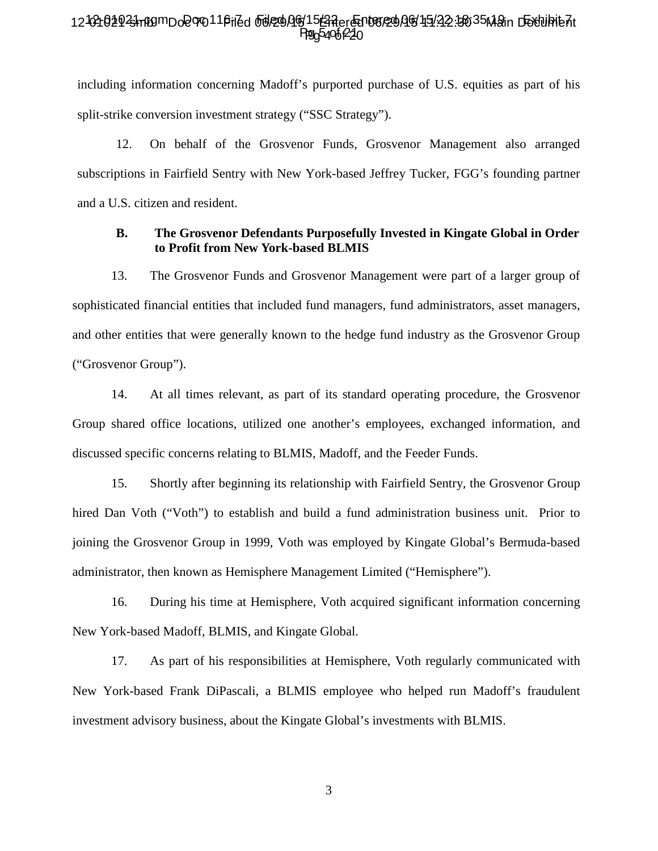### 12-02102923hn89mDo2070116iled 66l29AQ615E3RerGn08129AG451422.30635Main D58luhie7it Ppg5406 220

including information concerning Madoff's purported purchase of U.S. equities as part of his split-strike conversion investment strategy ("SSC Strategy").

12. On behalf of the Grosvenor Funds, Grosvenor Management also arranged subscriptions in Fairfield Sentry with New York-based Jeffrey Tucker, FGG's founding partner and a U.S. citizen and resident.

#### **B. The Grosvenor Defendants Purposefully Invested in Kingate Global in Order to Profit from New York-based BLMIS**

13. The Grosvenor Funds and Grosvenor Management were part of a larger group of sophisticated financial entities that included fund managers, fund administrators, asset managers, and other entities that were generally known to the hedge fund industry as the Grosvenor Group ("Grosvenor Group").

14. At all times relevant, as part of its standard operating procedure, the Grosvenor Group shared office locations, utilized one another's employees, exchanged information, and discussed specific concerns relating to BLMIS, Madoff, and the Feeder Funds.

15. Shortly after beginning its relationship with Fairfield Sentry, the Grosvenor Group hired Dan Voth ("Voth") to establish and build a fund administration business unit. Prior to joining the Grosvenor Group in 1999, Voth was employed by Kingate Global's Bermuda-based administrator, then known as Hemisphere Management Limited ("Hemisphere").

16. During his time at Hemisphere, Voth acquired significant information concerning New York-based Madoff, BLMIS, and Kingate Global.

17. As part of his responsibilities at Hemisphere, Voth regularly communicated with New York-based Frank DiPascali, a BLMIS employee who helped run Madoff's fraudulent investment advisory business, about the Kingate Global's investments with BLMIS.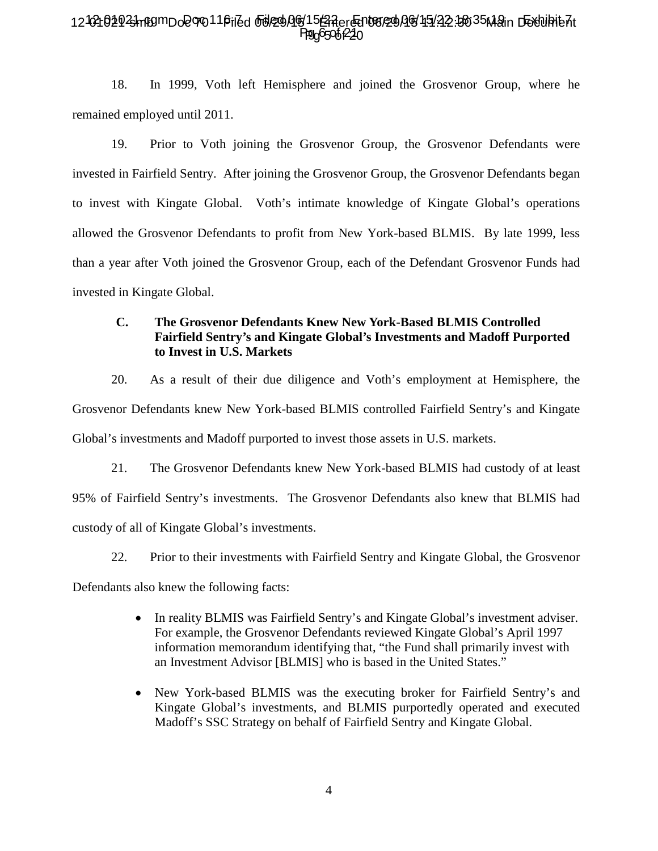# 12-02102923hn89mDo2070116iled 66l29AQ615 ZAer Entered AG 15/22 15635 Main Dexulhie At Ppg6506P220

18. In 1999, Voth left Hemisphere and joined the Grosvenor Group, where he remained employed until 2011.

19. Prior to Voth joining the Grosvenor Group, the Grosvenor Defendants were invested in Fairfield Sentry. After joining the Grosvenor Group, the Grosvenor Defendants began to invest with Kingate Global. Voth's intimate knowledge of Kingate Global's operations allowed the Grosvenor Defendants to profit from New York-based BLMIS. By late 1999, less than a year after Voth joined the Grosvenor Group, each of the Defendant Grosvenor Funds had invested in Kingate Global.

# **C. The Grosvenor Defendants Knew New York-Based BLMIS Controlled Fairfield Sentry's and Kingate Global's Investments and Madoff Purported to Invest in U.S. Markets**

20. As a result of their due diligence and Voth's employment at Hemisphere, the Grosvenor Defendants knew New York-based BLMIS controlled Fairfield Sentry's and Kingate Global's investments and Madoff purported to invest those assets in U.S. markets.

21. The Grosvenor Defendants knew New York-based BLMIS had custody of at least 95% of Fairfield Sentry's investments. The Grosvenor Defendants also knew that BLMIS had custody of all of Kingate Global's investments.

22. Prior to their investments with Fairfield Sentry and Kingate Global, the Grosvenor

Defendants also knew the following facts:

- In reality BLMIS was Fairfield Sentry's and Kingate Global's investment adviser. For example, the Grosvenor Defendants reviewed Kingate Global's April 1997 information memorandum identifying that, "the Fund shall primarily invest with an Investment Advisor [BLMIS] who is based in the United States."
- New York-based BLMIS was the executing broker for Fairfield Sentry's and Kingate Global's investments, and BLMIS purportedly operated and executed Madoff's SSC Strategy on behalf of Fairfield Sentry and Kingate Global.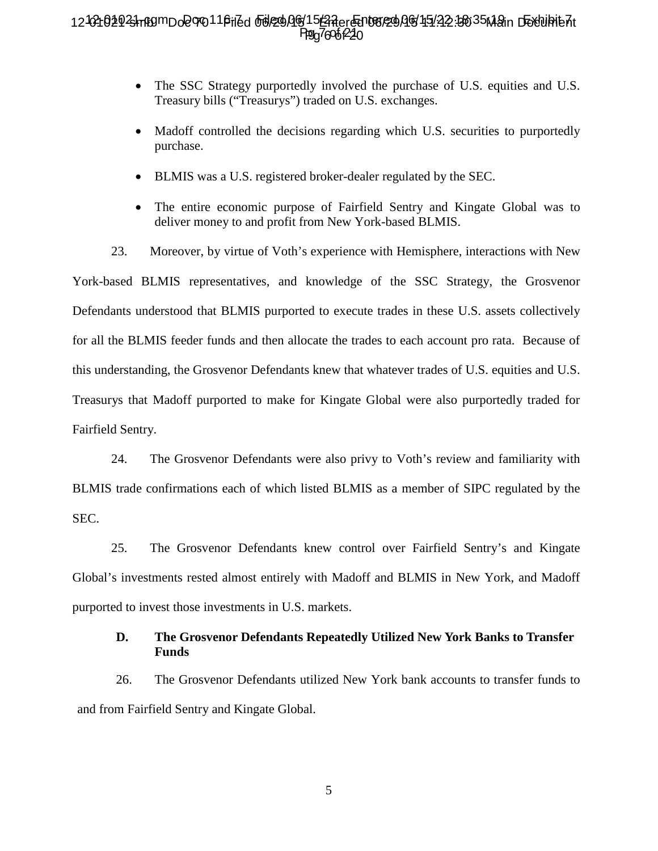# 12-02102923hn89mDo2070116iled 66l29AQ615E3RerGn08129AG451422.30635Main D58luhie7it Ppg76061<sup>22</sup>0

- The SSC Strategy purportedly involved the purchase of U.S. equities and U.S. Treasury bills ("Treasurys") traded on U.S. exchanges.
- Madoff controlled the decisions regarding which U.S. securities to purportedly purchase.
- BLMIS was a U.S. registered broker-dealer regulated by the SEC.
- The entire economic purpose of Fairfield Sentry and Kingate Global was to deliver money to and profit from New York-based BLMIS.

23. Moreover, by virtue of Voth's experience with Hemisphere, interactions with New York-based BLMIS representatives, and knowledge of the SSC Strategy, the Grosvenor Defendants understood that BLMIS purported to execute trades in these U.S. assets collectively for all the BLMIS feeder funds and then allocate the trades to each account pro rata. Because of this understanding, the Grosvenor Defendants knew that whatever trades of U.S. equities and U.S. Treasurys that Madoff purported to make for Kingate Global were also purportedly traded for Fairfield Sentry.

24. The Grosvenor Defendants were also privy to Voth's review and familiarity with BLMIS trade confirmations each of which listed BLMIS as a member of SIPC regulated by the SEC.

25. The Grosvenor Defendants knew control over Fairfield Sentry's and Kingate Global's investments rested almost entirely with Madoff and BLMIS in New York, and Madoff purported to invest those investments in U.S. markets.

# **D. The Grosvenor Defendants Repeatedly Utilized New York Banks to Transfer Funds**

26. The Grosvenor Defendants utilized New York bank accounts to transfer funds to and from Fairfield Sentry and Kingate Global.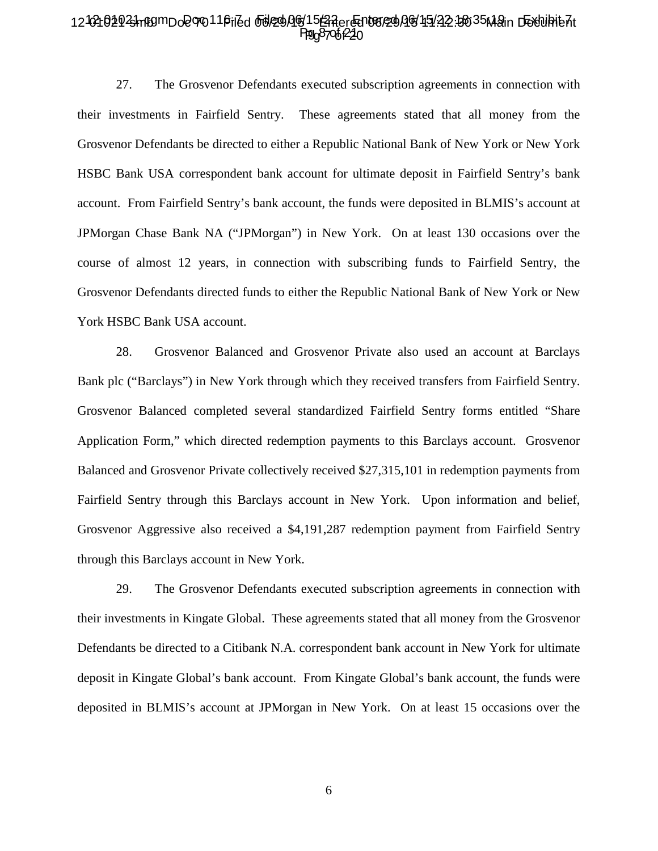### 12-02102923hn89mDo2070116iled 66l29AQ615 ZAer Entered AG 15/22 15635 Main Dexulhie At Ppg8706P220

27. The Grosvenor Defendants executed subscription agreements in connection with their investments in Fairfield Sentry. These agreements stated that all money from the Grosvenor Defendants be directed to either a Republic National Bank of New York or New York HSBC Bank USA correspondent bank account for ultimate deposit in Fairfield Sentry's bank account. From Fairfield Sentry's bank account, the funds were deposited in BLMIS's account at JPMorgan Chase Bank NA ("JPMorgan") in New York. On at least 130 occasions over the course of almost 12 years, in connection with subscribing funds to Fairfield Sentry, the Grosvenor Defendants directed funds to either the Republic National Bank of New York or New York HSBC Bank USA account.

28. Grosvenor Balanced and Grosvenor Private also used an account at Barclays Bank plc ("Barclays") in New York through which they received transfers from Fairfield Sentry. Grosvenor Balanced completed several standardized Fairfield Sentry forms entitled "Share Application Form," which directed redemption payments to this Barclays account. Grosvenor Balanced and Grosvenor Private collectively received \$27,315,101 in redemption payments from Fairfield Sentry through this Barclays account in New York. Upon information and belief, Grosvenor Aggressive also received a \$4,191,287 redemption payment from Fairfield Sentry through this Barclays account in New York.

29. The Grosvenor Defendants executed subscription agreements in connection with their investments in Kingate Global. These agreements stated that all money from the Grosvenor Defendants be directed to a Citibank N.A. correspondent bank account in New York for ultimate deposit in Kingate Global's bank account. From Kingate Global's bank account, the funds were deposited in BLMIS's account at JPMorgan in New York. On at least 15 occasions over the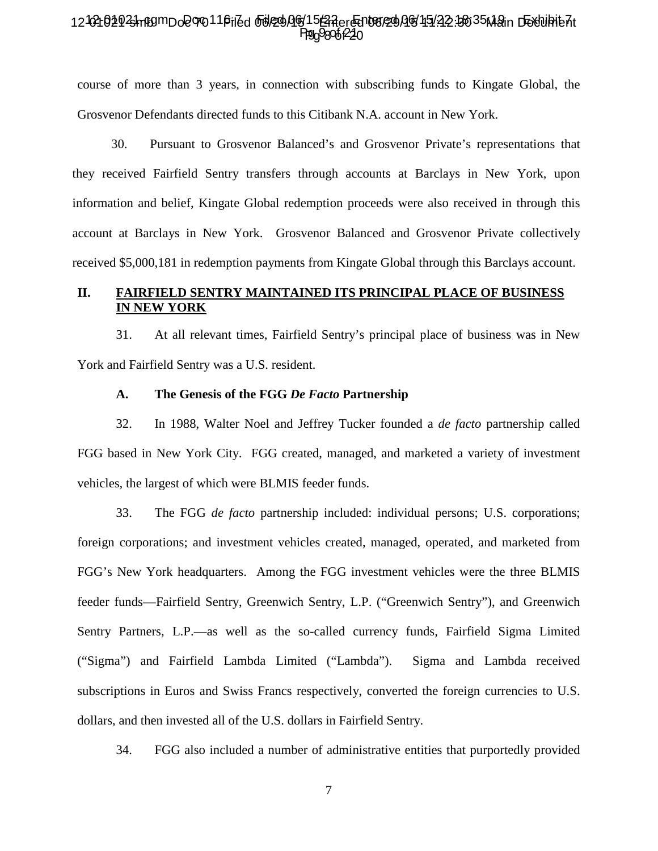#### 12-02102923hn89mDo2070116iled 66l29AQ615 ZAer Entered AG 15/22 15635 Main Dextubitent **Pg** 98061220 Ppg98061224

course of more than 3 years, in connection with subscribing funds to Kingate Global, the Grosvenor Defendants directed funds to this Citibank N.A. account in New York.

30. Pursuant to Grosvenor Balanced's and Grosvenor Private's representations that they received Fairfield Sentry transfers through accounts at Barclays in New York, upon information and belief, Kingate Global redemption proceeds were also received in through this account at Barclays in New York. Grosvenor Balanced and Grosvenor Private collectively received \$5,000,181 in redemption payments from Kingate Global through this Barclays account.

# **II. FAIRFIELD SENTRY MAINTAINED ITS PRINCIPAL PLACE OF BUSINESS IN NEW YORK**

31. At all relevant times, Fairfield Sentry's principal place of business was in New York and Fairfield Sentry was a U.S. resident.

#### **A. The Genesis of the FGG** *De Facto* **Partnership**

32. In 1988, Walter Noel and Jeffrey Tucker founded a *de facto* partnership called FGG based in New York City. FGG created, managed, and marketed a variety of investment vehicles, the largest of which were BLMIS feeder funds.

33. The FGG *de facto* partnership included: individual persons; U.S. corporations; foreign corporations; and investment vehicles created, managed, operated, and marketed from FGG's New York headquarters. Among the FGG investment vehicles were the three BLMIS feeder funds—Fairfield Sentry, Greenwich Sentry, L.P. ("Greenwich Sentry"), and Greenwich Sentry Partners, L.P.—as well as the so-called currency funds, Fairfield Sigma Limited ("Sigma") and Fairfield Lambda Limited ("Lambda"). Sigma and Lambda received subscriptions in Euros and Swiss Francs respectively, converted the foreign currencies to U.S. dollars, and then invested all of the U.S. dollars in Fairfield Sentry.

34. FGG also included a number of administrative entities that purportedly provided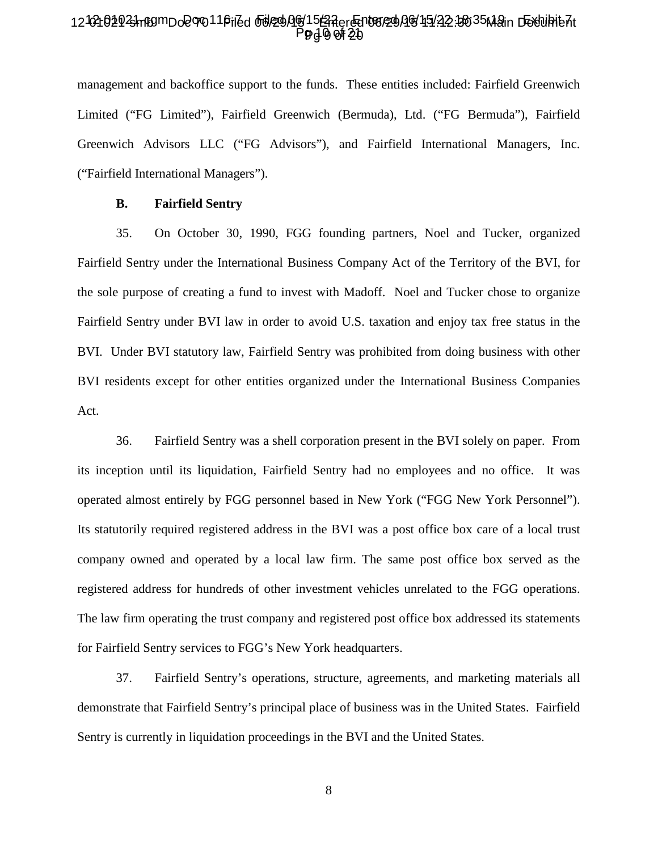### 12-02102923hn80mDo2070116riZd od229Ag15GRer@n08/29AG45122.3035Main D5Yuhib7t P**g** 4 0 of 20

management and backoffice support to the funds. These entities included: Fairfield Greenwich Limited ("FG Limited"), Fairfield Greenwich (Bermuda), Ltd. ("FG Bermuda"), Fairfield Greenwich Advisors LLC ("FG Advisors"), and Fairfield International Managers, Inc. ("Fairfield International Managers").

#### **B. Fairfield Sentry**

35. On October 30, 1990, FGG founding partners, Noel and Tucker, organized Fairfield Sentry under the International Business Company Act of the Territory of the BVI, for the sole purpose of creating a fund to invest with Madoff. Noel and Tucker chose to organize Fairfield Sentry under BVI law in order to avoid U.S. taxation and enjoy tax free status in the BVI. Under BVI statutory law, Fairfield Sentry was prohibited from doing business with other BVI residents except for other entities organized under the International Business Companies Act.

36. Fairfield Sentry was a shell corporation present in the BVI solely on paper. From its inception until its liquidation, Fairfield Sentry had no employees and no office. It was operated almost entirely by FGG personnel based in New York ("FGG New York Personnel"). Its statutorily required registered address in the BVI was a post office box care of a local trust company owned and operated by a local law firm. The same post office box served as the registered address for hundreds of other investment vehicles unrelated to the FGG operations. The law firm operating the trust company and registered post office box addressed its statements for Fairfield Sentry services to FGG's New York headquarters.

37. Fairfield Sentry's operations, structure, agreements, and marketing materials all demonstrate that Fairfield Sentry's principal place of business was in the United States. Fairfield Sentry is currently in liquidation proceedings in the BVI and the United States.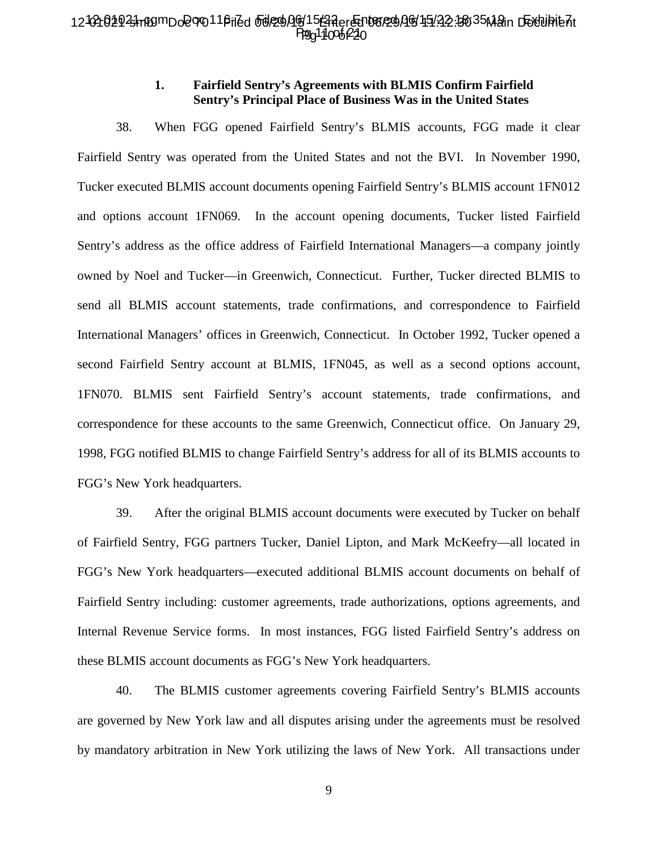### 12-02102923hn80mDo2070116riZd od290Ag15GRer@n08/290G15122.3035M2in D5Yuhib7t Ppg 110 06 220

#### **1. Fairfield Sentry's Agreements with BLMIS Confirm Fairfield Sentry's Principal Place of Business Was in the United States**

38. When FGG opened Fairfield Sentry's BLMIS accounts, FGG made it clear Fairfield Sentry was operated from the United States and not the BVI. In November 1990, Tucker executed BLMIS account documents opening Fairfield Sentry's BLMIS account 1FN012 and options account 1FN069. In the account opening documents, Tucker listed Fairfield Sentry's address as the office address of Fairfield International Managers—a company jointly owned by Noel and Tucker—in Greenwich, Connecticut. Further, Tucker directed BLMIS to send all BLMIS account statements, trade confirmations, and correspondence to Fairfield International Managers' offices in Greenwich, Connecticut. In October 1992, Tucker opened a second Fairfield Sentry account at BLMIS, 1FN045, as well as a second options account, 1FN070. BLMIS sent Fairfield Sentry's account statements, trade confirmations, and correspondence for these accounts to the same Greenwich, Connecticut office. On January 29, 1998, FGG notified BLMIS to change Fairfield Sentry's address for all of its BLMIS accounts to FGG's New York headquarters.

39. After the original BLMIS account documents were executed by Tucker on behalf of Fairfield Sentry, FGG partners Tucker, Daniel Lipton, and Mark McKeefry—all located in FGG's New York headquarters—executed additional BLMIS account documents on behalf of Fairfield Sentry including: customer agreements, trade authorizations, options agreements, and Internal Revenue Service forms. In most instances, FGG listed Fairfield Sentry's address on these BLMIS account documents as FGG's New York headquarters.

40. The BLMIS customer agreements covering Fairfield Sentry's BLMIS accounts are governed by New York law and all disputes arising under the agreements must be resolved by mandatory arbitration in New York utilizing the laws of New York. All transactions under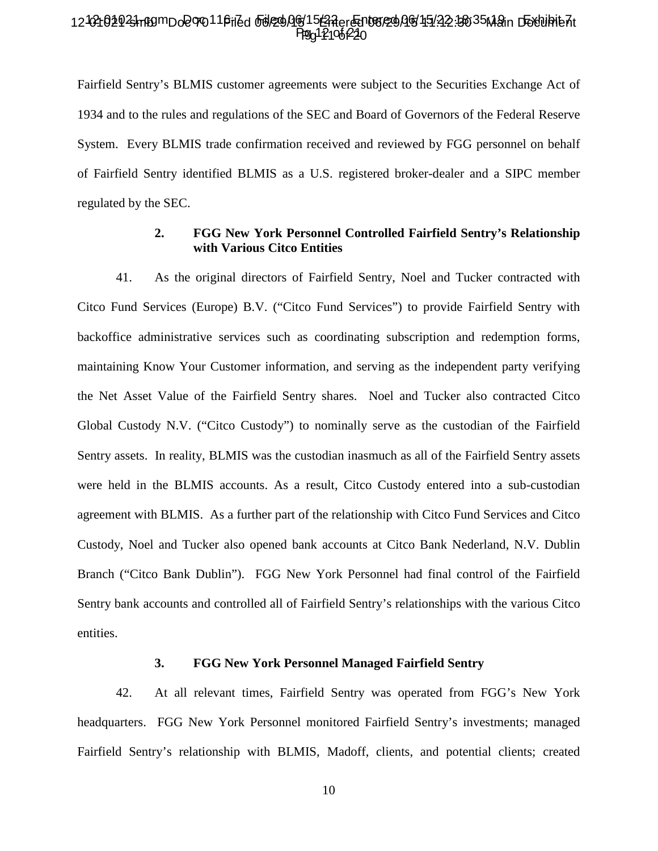### 12-02102923hn80mDo2070116riZd od290Ag15GRer@n08/290G15122.3035M2in D5Yuhib7t Ppg 12106220

Fairfield Sentry's BLMIS customer agreements were subject to the Securities Exchange Act of 1934 and to the rules and regulations of the SEC and Board of Governors of the Federal Reserve System. Every BLMIS trade confirmation received and reviewed by FGG personnel on behalf of Fairfield Sentry identified BLMIS as a U.S. registered broker-dealer and a SIPC member regulated by the SEC.

### **2. FGG New York Personnel Controlled Fairfield Sentry's Relationship with Various Citco Entities**

41. As the original directors of Fairfield Sentry, Noel and Tucker contracted with Citco Fund Services (Europe) B.V. ("Citco Fund Services") to provide Fairfield Sentry with backoffice administrative services such as coordinating subscription and redemption forms, maintaining Know Your Customer information, and serving as the independent party verifying the Net Asset Value of the Fairfield Sentry shares. Noel and Tucker also contracted Citco Global Custody N.V. ("Citco Custody") to nominally serve as the custodian of the Fairfield Sentry assets. In reality, BLMIS was the custodian inasmuch as all of the Fairfield Sentry assets were held in the BLMIS accounts. As a result, Citco Custody entered into a sub-custodian agreement with BLMIS. As a further part of the relationship with Citco Fund Services and Citco Custody, Noel and Tucker also opened bank accounts at Citco Bank Nederland, N.V. Dublin Branch ("Citco Bank Dublin"). FGG New York Personnel had final control of the Fairfield Sentry bank accounts and controlled all of Fairfield Sentry's relationships with the various Citco entities.

#### **3. FGG New York Personnel Managed Fairfield Sentry**

42. At all relevant times, Fairfield Sentry was operated from FGG's New York headquarters. FGG New York Personnel monitored Fairfield Sentry's investments; managed Fairfield Sentry's relationship with BLMIS, Madoff, clients, and potential clients; created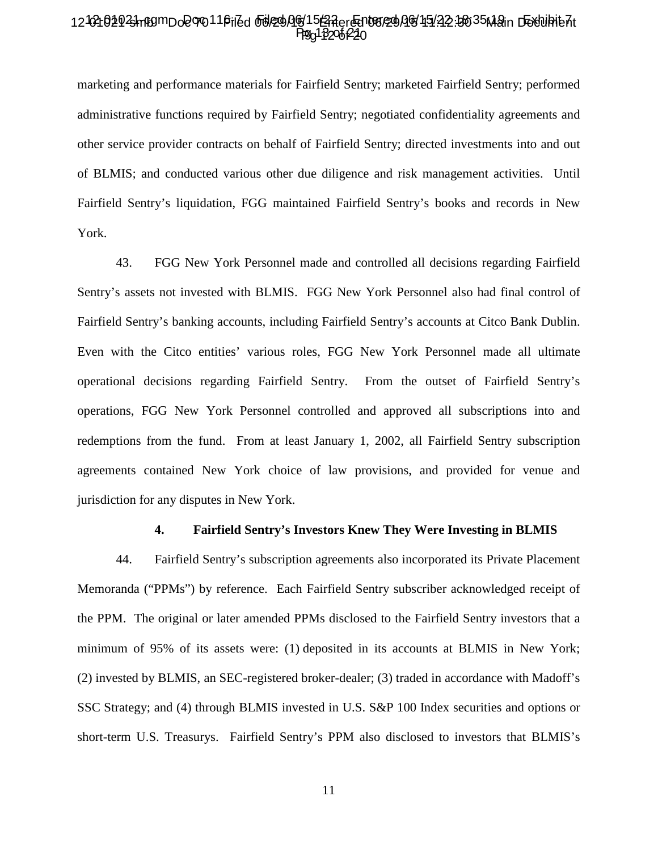### 12-02102923hn89mDo2070116riZd od229Ag15GRer@n08/29AG45122.3035Main D5Yuhib7t Ppg 13206 220

marketing and performance materials for Fairfield Sentry; marketed Fairfield Sentry; performed administrative functions required by Fairfield Sentry; negotiated confidentiality agreements and other service provider contracts on behalf of Fairfield Sentry; directed investments into and out of BLMIS; and conducted various other due diligence and risk management activities. Until Fairfield Sentry's liquidation, FGG maintained Fairfield Sentry's books and records in New York.

43. FGG New York Personnel made and controlled all decisions regarding Fairfield Sentry's assets not invested with BLMIS. FGG New York Personnel also had final control of Fairfield Sentry's banking accounts, including Fairfield Sentry's accounts at Citco Bank Dublin. Even with the Citco entities' various roles, FGG New York Personnel made all ultimate operational decisions regarding Fairfield Sentry. From the outset of Fairfield Sentry's operations, FGG New York Personnel controlled and approved all subscriptions into and redemptions from the fund. From at least January 1, 2002, all Fairfield Sentry subscription agreements contained New York choice of law provisions, and provided for venue and jurisdiction for any disputes in New York.

#### **4. Fairfield Sentry's Investors Knew They Were Investing in BLMIS**

44. Fairfield Sentry's subscription agreements also incorporated its Private Placement Memoranda ("PPMs") by reference. Each Fairfield Sentry subscriber acknowledged receipt of the PPM. The original or later amended PPMs disclosed to the Fairfield Sentry investors that a minimum of 95% of its assets were: (1) deposited in its accounts at BLMIS in New York; (2) invested by BLMIS, an SEC-registered broker-dealer; (3) traded in accordance with Madoff's SSC Strategy; and (4) through BLMIS invested in U.S. S&P 100 Index securities and options or short-term U.S. Treasurys. Fairfield Sentry's PPM also disclosed to investors that BLMIS's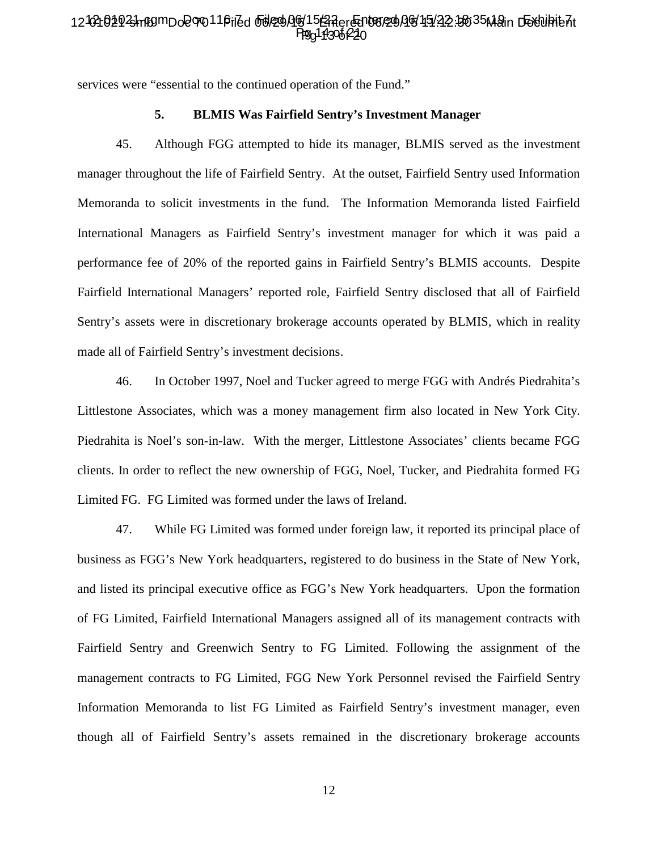#### 12-02102923hn80mDo2070116riZd od229Ag1523Aer@n08/29AG45122.3035Main D5Yuhie7it Ppg113061220 Ppg14306f22

services were "essential to the continued operation of the Fund."

#### **5. BLMIS Was Fairfield Sentry's Investment Manager**

45. Although FGG attempted to hide its manager, BLMIS served as the investment manager throughout the life of Fairfield Sentry. At the outset, Fairfield Sentry used Information Memoranda to solicit investments in the fund. The Information Memoranda listed Fairfield International Managers as Fairfield Sentry's investment manager for which it was paid a performance fee of 20% of the reported gains in Fairfield Sentry's BLMIS accounts. Despite Fairfield International Managers' reported role, Fairfield Sentry disclosed that all of Fairfield Sentry's assets were in discretionary brokerage accounts operated by BLMIS, which in reality made all of Fairfield Sentry's investment decisions.

46. In October 1997, Noel and Tucker agreed to merge FGG with Andrés Piedrahita's Littlestone Associates, which was a money management firm also located in New York City. Piedrahita is Noel's son-in-law. With the merger, Littlestone Associates' clients became FGG clients. In order to reflect the new ownership of FGG, Noel, Tucker, and Piedrahita formed FG Limited FG. FG Limited was formed under the laws of Ireland.

47. While FG Limited was formed under foreign law, it reported its principal place of business as FGG's New York headquarters, registered to do business in the State of New York, and listed its principal executive office as FGG's New York headquarters. Upon the formation of FG Limited, Fairfield International Managers assigned all of its management contracts with Fairfield Sentry and Greenwich Sentry to FG Limited. Following the assignment of the management contracts to FG Limited, FGG New York Personnel revised the Fairfield Sentry Information Memoranda to list FG Limited as Fairfield Sentry's investment manager, even though all of Fairfield Sentry's assets remained in the discretionary brokerage accounts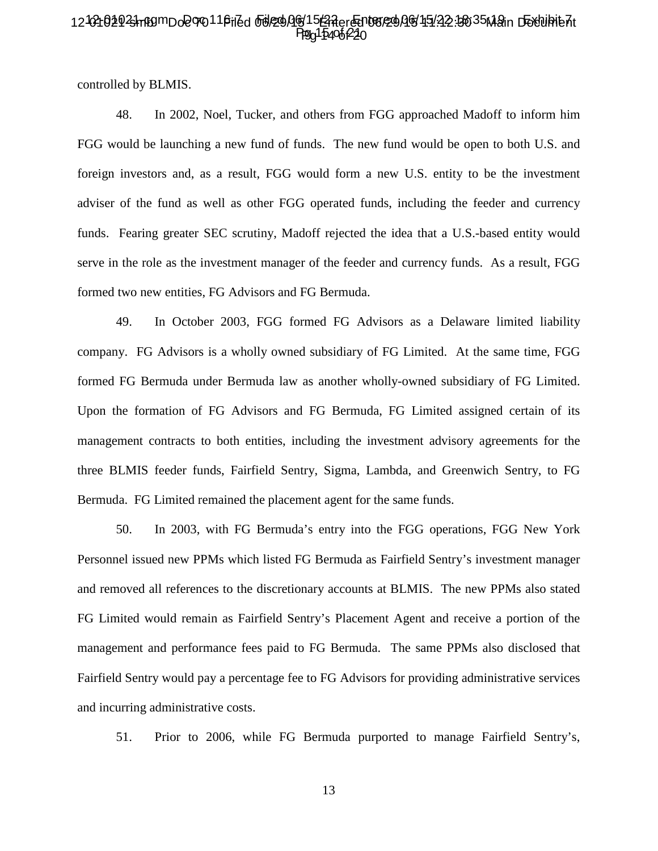### 12-02102923hn89mDo2070116riZd od229Ag15@Aer@n08/29AG45122.3035Main D5Yuhib7t Ppg 15406 P20

controlled by BLMIS.

48. In 2002, Noel, Tucker, and others from FGG approached Madoff to inform him FGG would be launching a new fund of funds. The new fund would be open to both U.S. and foreign investors and, as a result, FGG would form a new U.S. entity to be the investment adviser of the fund as well as other FGG operated funds, including the feeder and currency funds. Fearing greater SEC scrutiny, Madoff rejected the idea that a U.S.-based entity would serve in the role as the investment manager of the feeder and currency funds. As a result, FGG formed two new entities, FG Advisors and FG Bermuda.

49. In October 2003, FGG formed FG Advisors as a Delaware limited liability company. FG Advisors is a wholly owned subsidiary of FG Limited. At the same time, FGG formed FG Bermuda under Bermuda law as another wholly-owned subsidiary of FG Limited. Upon the formation of FG Advisors and FG Bermuda, FG Limited assigned certain of its management contracts to both entities, including the investment advisory agreements for the three BLMIS feeder funds, Fairfield Sentry, Sigma, Lambda, and Greenwich Sentry, to FG Bermuda. FG Limited remained the placement agent for the same funds.

50. In 2003, with FG Bermuda's entry into the FGG operations, FGG New York Personnel issued new PPMs which listed FG Bermuda as Fairfield Sentry's investment manager and removed all references to the discretionary accounts at BLMIS. The new PPMs also stated FG Limited would remain as Fairfield Sentry's Placement Agent and receive a portion of the management and performance fees paid to FG Bermuda. The same PPMs also disclosed that Fairfield Sentry would pay a percentage fee to FG Advisors for providing administrative services and incurring administrative costs.

51. Prior to 2006, while FG Bermuda purported to manage Fairfield Sentry's,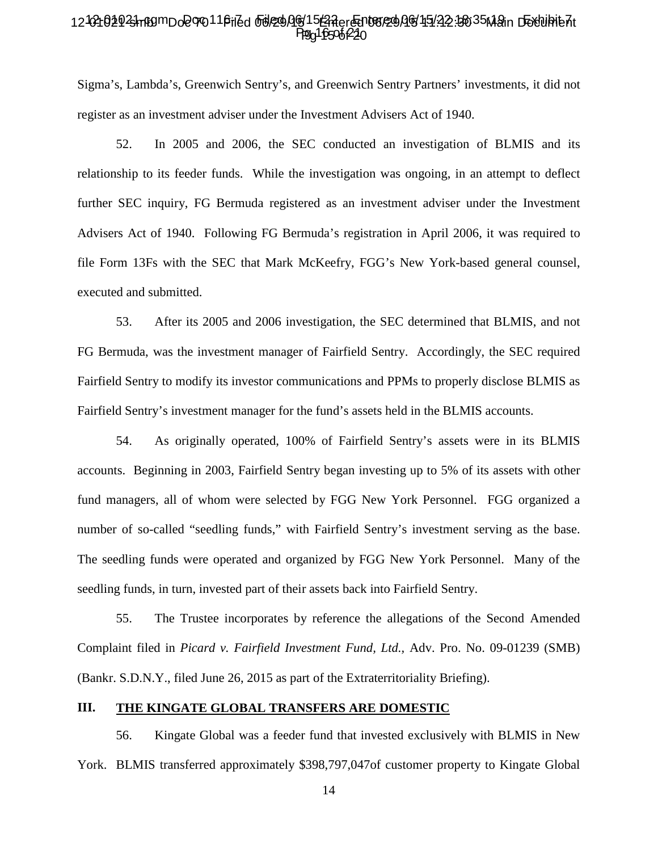### 12-02102923hn80mDo2070116riZd od229Ag15GRer@n08/29AG45122.3035Main D5Yuhib7t Ppg 16506 P20

Sigma's, Lambda's, Greenwich Sentry's, and Greenwich Sentry Partners' investments, it did not register as an investment adviser under the Investment Advisers Act of 1940.

52. In 2005 and 2006, the SEC conducted an investigation of BLMIS and its relationship to its feeder funds. While the investigation was ongoing, in an attempt to deflect further SEC inquiry, FG Bermuda registered as an investment adviser under the Investment Advisers Act of 1940. Following FG Bermuda's registration in April 2006, it was required to file Form 13Fs with the SEC that Mark McKeefry, FGG's New York-based general counsel, executed and submitted.

53. After its 2005 and 2006 investigation, the SEC determined that BLMIS, and not FG Bermuda, was the investment manager of Fairfield Sentry. Accordingly, the SEC required Fairfield Sentry to modify its investor communications and PPMs to properly disclose BLMIS as Fairfield Sentry's investment manager for the fund's assets held in the BLMIS accounts.

54. As originally operated, 100% of Fairfield Sentry's assets were in its BLMIS accounts. Beginning in 2003, Fairfield Sentry began investing up to 5% of its assets with other fund managers, all of whom were selected by FGG New York Personnel. FGG organized a number of so-called "seedling funds," with Fairfield Sentry's investment serving as the base. The seedling funds were operated and organized by FGG New York Personnel. Many of the seedling funds, in turn, invested part of their assets back into Fairfield Sentry.

55. The Trustee incorporates by reference the allegations of the Second Amended Complaint filed in *Picard v. Fairfield Investment Fund, Ltd.,* Adv. Pro. No. 09-01239 (SMB) (Bankr. S.D.N.Y., filed June 26, 2015 as part of the Extraterritoriality Briefing).

#### **III. THE KINGATE GLOBAL TRANSFERS ARE DOMESTIC**

56. Kingate Global was a feeder fund that invested exclusively with BLMIS in New York. BLMIS transferred approximately \$398,797,047of customer property to Kingate Global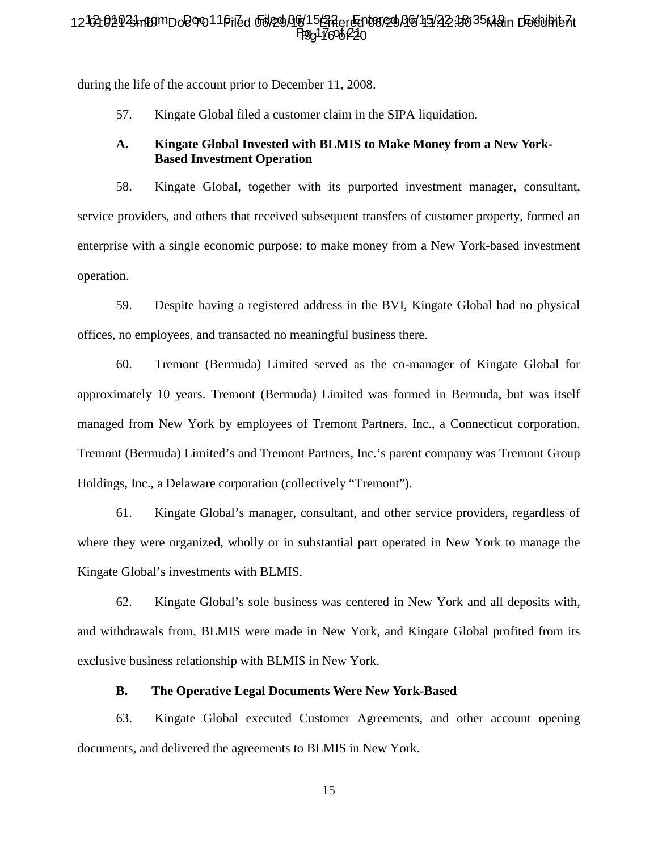### 12-02102923hn89mDo2070116riZd od229Ag15GAer@n08/29AG45122.3035Main D5Yuhib7t Ppg 17606 P20

during the life of the account prior to December 11, 2008.

57. Kingate Global filed a customer claim in the SIPA liquidation.

#### **A. Kingate Global Invested with BLMIS to Make Money from a New York-Based Investment Operation**

58. Kingate Global, together with its purported investment manager, consultant, service providers, and others that received subsequent transfers of customer property, formed an enterprise with a single economic purpose: to make money from a New York-based investment operation.

59. Despite having a registered address in the BVI, Kingate Global had no physical offices, no employees, and transacted no meaningful business there.

60. Tremont (Bermuda) Limited served as the co-manager of Kingate Global for approximately 10 years. Tremont (Bermuda) Limited was formed in Bermuda, but was itself managed from New York by employees of Tremont Partners, Inc., a Connecticut corporation. Tremont (Bermuda) Limited's and Tremont Partners, Inc.'s parent company was Tremont Group Holdings, Inc., a Delaware corporation (collectively "Tremont").

61. Kingate Global's manager, consultant, and other service providers, regardless of where they were organized, wholly or in substantial part operated in New York to manage the Kingate Global's investments with BLMIS.

62. Kingate Global's sole business was centered in New York and all deposits with, and withdrawals from, BLMIS were made in New York, and Kingate Global profited from its exclusive business relationship with BLMIS in New York.

#### **B. The Operative Legal Documents Were New York-Based**

63. Kingate Global executed Customer Agreements, and other account opening documents, and delivered the agreements to BLMIS in New York.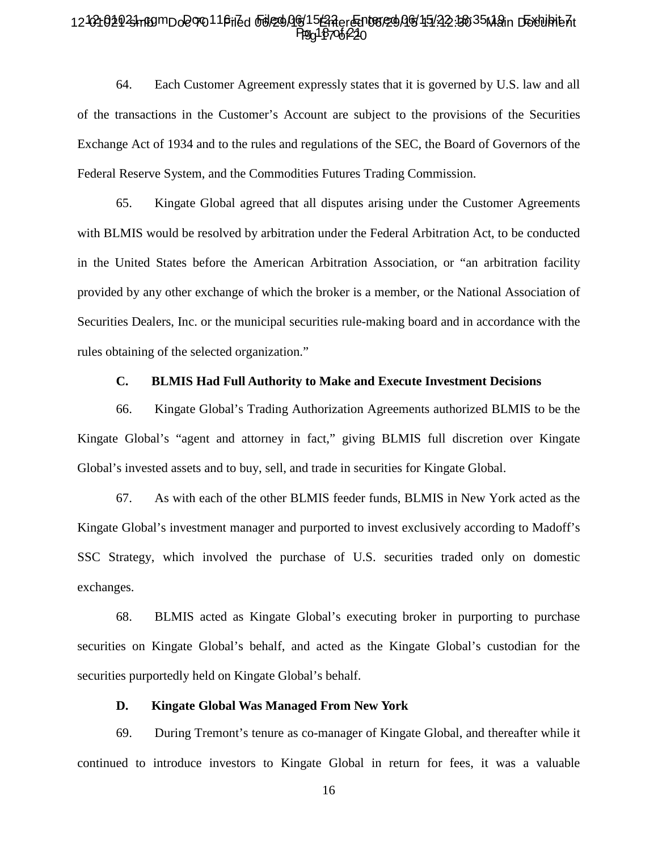### 12-02102923hn80mDo2070116riZd od229Ag15GRer@n08/29AG45122.3035Main D5Yuhib7t Ppg 18706 220

64. Each Customer Agreement expressly states that it is governed by U.S. law and all of the transactions in the Customer's Account are subject to the provisions of the Securities Exchange Act of 1934 and to the rules and regulations of the SEC, the Board of Governors of the Federal Reserve System, and the Commodities Futures Trading Commission.

65. Kingate Global agreed that all disputes arising under the Customer Agreements with BLMIS would be resolved by arbitration under the Federal Arbitration Act, to be conducted in the United States before the American Arbitration Association, or "an arbitration facility provided by any other exchange of which the broker is a member, or the National Association of Securities Dealers, Inc. or the municipal securities rule-making board and in accordance with the rules obtaining of the selected organization."

#### **C. BLMIS Had Full Authority to Make and Execute Investment Decisions**

66. Kingate Global's Trading Authorization Agreements authorized BLMIS to be the Kingate Global's "agent and attorney in fact," giving BLMIS full discretion over Kingate Global's invested assets and to buy, sell, and trade in securities for Kingate Global.

67. As with each of the other BLMIS feeder funds, BLMIS in New York acted as the Kingate Global's investment manager and purported to invest exclusively according to Madoff's SSC Strategy, which involved the purchase of U.S. securities traded only on domestic exchanges.

68. BLMIS acted as Kingate Global's executing broker in purporting to purchase securities on Kingate Global's behalf, and acted as the Kingate Global's custodian for the securities purportedly held on Kingate Global's behalf.

#### **D. Kingate Global Was Managed From New York**

69. During Tremont's tenure as co-manager of Kingate Global, and thereafter while it continued to introduce investors to Kingate Global in return for fees, it was a valuable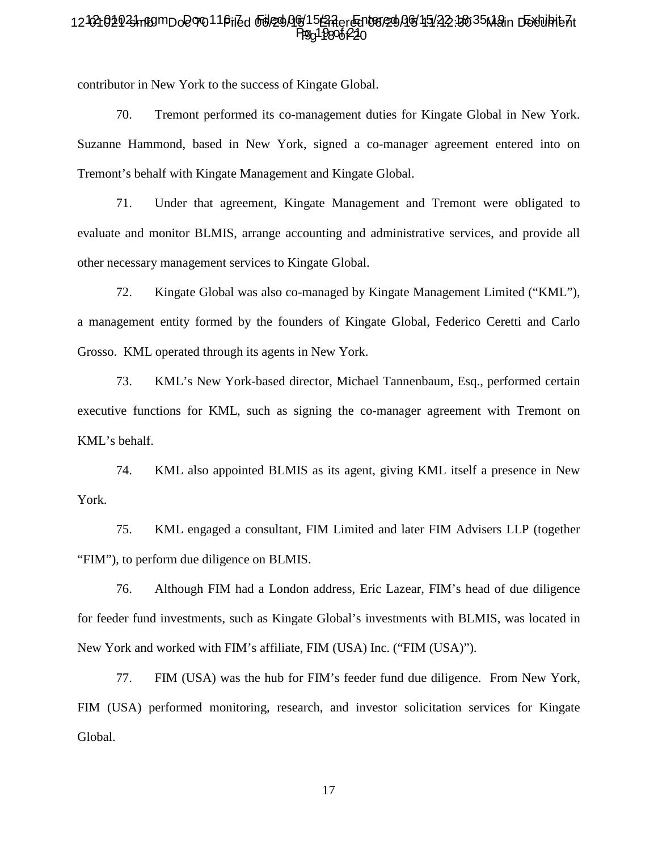### 12-02102923hn80mDo2070116riZd od229Ag15GRer@n08/29AG45122.3035Main D5Yuhib7t Ppg 19806 P20

contributor in New York to the success of Kingate Global.

70. Tremont performed its co-management duties for Kingate Global in New York. Suzanne Hammond, based in New York, signed a co-manager agreement entered into on Tremont's behalf with Kingate Management and Kingate Global.

71. Under that agreement, Kingate Management and Tremont were obligated to evaluate and monitor BLMIS, arrange accounting and administrative services, and provide all other necessary management services to Kingate Global.

72. Kingate Global was also co-managed by Kingate Management Limited ("KML"), a management entity formed by the founders of Kingate Global, Federico Ceretti and Carlo Grosso. KML operated through its agents in New York.

73. KML's New York-based director, Michael Tannenbaum, Esq., performed certain executive functions for KML, such as signing the co-manager agreement with Tremont on KML's behalf.

74. KML also appointed BLMIS as its agent, giving KML itself a presence in New York.

75. KML engaged a consultant, FIM Limited and later FIM Advisers LLP (together "FIM"), to perform due diligence on BLMIS.

76. Although FIM had a London address, Eric Lazear, FIM's head of due diligence for feeder fund investments, such as Kingate Global's investments with BLMIS, was located in New York and worked with FIM's affiliate, FIM (USA) Inc. ("FIM (USA)").

77. FIM (USA) was the hub for FIM's feeder fund due diligence. From New York, FIM (USA) performed monitoring, research, and investor solicitation services for Kingate Global.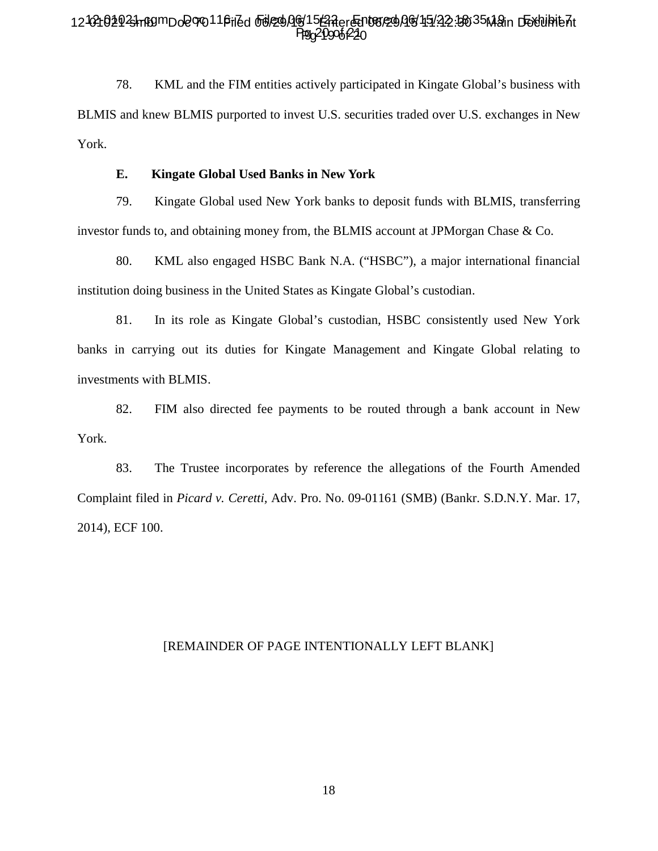# 12-02102923hn80mDo2070116riZd od290Ag15GRer@n08/290G15122.3035M2in D5Yuhib7t Ppg21906f220

78. KML and the FIM entities actively participated in Kingate Global's business with BLMIS and knew BLMIS purported to invest U.S. securities traded over U.S. exchanges in New York.

#### **E. Kingate Global Used Banks in New York**

79. Kingate Global used New York banks to deposit funds with BLMIS, transferring investor funds to, and obtaining money from, the BLMIS account at JPMorgan Chase & Co.

80. KML also engaged HSBC Bank N.A. ("HSBC"), a major international financial institution doing business in the United States as Kingate Global's custodian.

81. In its role as Kingate Global's custodian, HSBC consistently used New York banks in carrying out its duties for Kingate Management and Kingate Global relating to investments with BLMIS.

82. FIM also directed fee payments to be routed through a bank account in New York.

83. The Trustee incorporates by reference the allegations of the Fourth Amended Complaint filed in *Picard v. Ceretti,* Adv. Pro. No. 09-01161 (SMB) (Bankr. S.D.N.Y. Mar. 17, 2014), ECF 100.

### [REMAINDER OF PAGE INTENTIONALLY LEFT BLANK]